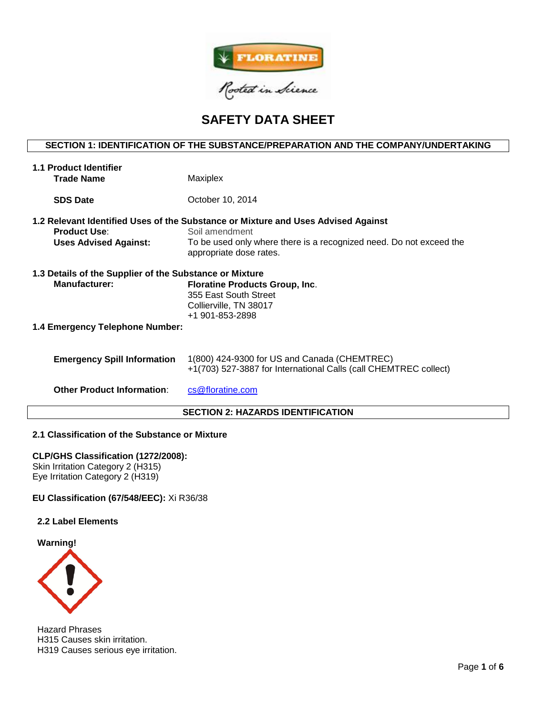

# **SAFETY DATA SHEET**

# **SECTION 1: IDENTIFICATION OF THE SUBSTANCE/PREPARATION AND THE COMPANY/UNDERTAKING**

| <b>1.1 Product Identifier</b><br><b>Trade Name</b>                              | Maxiplex                                                                                                                                                                                              |  |  |  |  |
|---------------------------------------------------------------------------------|-------------------------------------------------------------------------------------------------------------------------------------------------------------------------------------------------------|--|--|--|--|
| <b>SDS Date</b>                                                                 | October 10, 2014                                                                                                                                                                                      |  |  |  |  |
| <b>Product Use:</b><br><b>Uses Advised Against:</b>                             | 1.2 Relevant Identified Uses of the Substance or Mixture and Uses Advised Against<br>Soil amendment<br>To be used only where there is a recognized need. Do not exceed the<br>appropriate dose rates. |  |  |  |  |
| 1.3 Details of the Supplier of the Substance or Mixture<br><b>Manufacturer:</b> | <b>Floratine Products Group, Inc.</b><br>355 East South Street<br>Collierville, TN 38017<br>+1 901-853-2898                                                                                           |  |  |  |  |
| 1.4 Emergency Telephone Number:                                                 |                                                                                                                                                                                                       |  |  |  |  |
| <b>Emergency Spill Information</b>                                              | 1(800) 424-9300 for US and Canada (CHEMTREC)<br>+1(703) 527-3887 for International Calls (call CHEMTREC collect)                                                                                      |  |  |  |  |
| <b>Other Product Information:</b>                                               | cs@floratine.com                                                                                                                                                                                      |  |  |  |  |

# **SECTION 2: HAZARDS IDENTIFICATION**

# **2.1 Classification of the Substance or Mixture**

## **CLP/GHS Classification (1272/2008):**

Skin Irritation Category 2 (H315) Eye Irritation Category 2 (H319)

## **EU Classification (67/548/EEC):** Xi R36/38

## **2.2 Label Elements**



Hazard Phrases H315 Causes skin irritation. H319 Causes serious eye irritation.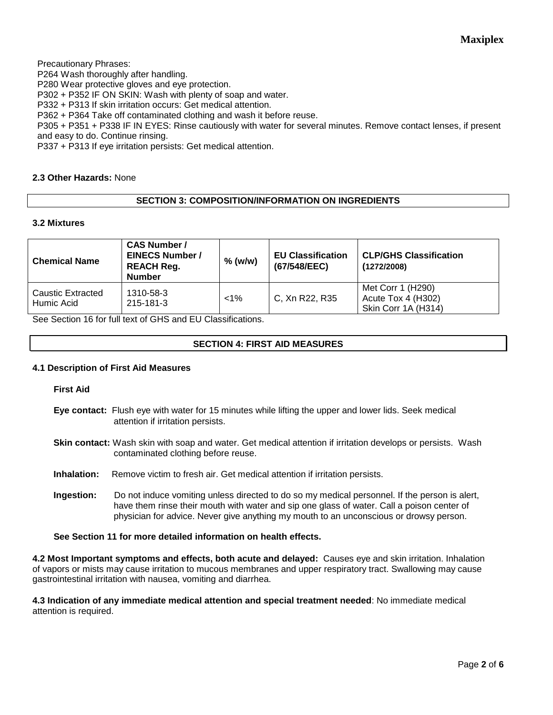Precautionary Phrases:

P264 Wash thoroughly after handling.

P280 Wear protective gloves and eye protection.

P302 + P352 IF ON SKIN: Wash with plenty of soap and water.

P332 + P313 If skin irritation occurs: Get medical attention.

P362 + P364 Take off contaminated clothing and wash it before reuse.

P305 + P351 + P338 IF IN EYES: Rinse cautiously with water for several minutes. Remove contact lenses, if present and easy to do. Continue rinsing.

P337 + P313 If eye irritation persists: Get medical attention.

# **2.3 Other Hazards:** None

# **SECTION 3: COMPOSITION/INFORMATION ON INGREDIENTS**

# **3.2 Mixtures**

| <b>Chemical Name</b>            | <b>CAS Number /</b><br><b>EINECS Number /</b><br><b>REACH Reg.</b><br><b>Number</b> | $%$ (w/w) | <b>EU Classification</b><br>(67/548/EEC) | <b>CLP/GHS Classification</b><br>(1272/2008)                   |
|---------------------------------|-------------------------------------------------------------------------------------|-----------|------------------------------------------|----------------------------------------------------------------|
| Caustic Extracted<br>Humic Acid | 1310-58-3<br>215-181-3                                                              | $< 1\%$   | C, Xn R22, R35                           | Met Corr 1 (H290)<br>Acute Tox 4 (H302)<br>Skin Corr 1A (H314) |

See Section 16 for full text of GHS and EU Classifications.

# **SECTION 4: FIRST AID MEASURES**

## **4.1 Description of First Aid Measures**

**First Aid**

- **Eye contact:** Flush eye with water for 15 minutes while lifting the upper and lower lids. Seek medical attention if irritation persists.
- **Skin contact:** Wash skin with soap and water. Get medical attention if irritation develops or persists. Wash contaminated clothing before reuse.
- **Inhalation:** Remove victim to fresh air. Get medical attention if irritation persists.
- **Ingestion:** Do not induce vomiting unless directed to do so my medical personnel. If the person is alert, have them rinse their mouth with water and sip one glass of water. Call a poison center of physician for advice. Never give anything my mouth to an unconscious or drowsy person.

**See Section 11 for more detailed information on health effects.**

**4.2 Most Important symptoms and effects, both acute and delayed:** Causes eye and skin irritation. Inhalation of vapors or mists may cause irritation to mucous membranes and upper respiratory tract. Swallowing may cause gastrointestinal irritation with nausea, vomiting and diarrhea.

**4.3 Indication of any immediate medical attention and special treatment needed**: No immediate medical attention is required.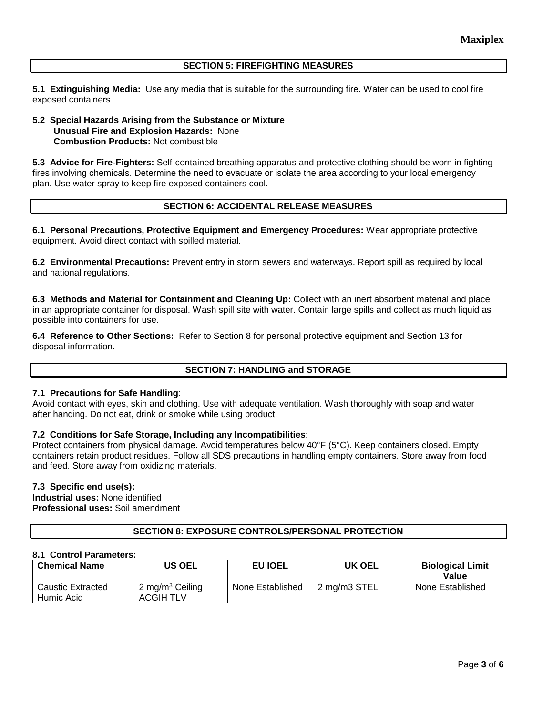### **SECTION 5: FIREFIGHTING MEASURES**

**5.1 Extinguishing Media:** Use any media that is suitable for the surrounding fire. Water can be used to cool fire exposed containers

## **5.2 Special Hazards Arising from the Substance or Mixture Unusual Fire and Explosion Hazards:** None **Combustion Products:** Not combustible

**5.3 Advice for Fire-Fighters:** Self-contained breathing apparatus and protective clothing should be worn in fighting fires involving chemicals. Determine the need to evacuate or isolate the area according to your local emergency plan. Use water spray to keep fire exposed containers cool.

# **SECTION 6: ACCIDENTAL RELEASE MEASURES**

**6.1 Personal Precautions, Protective Equipment and Emergency Procedures:** Wear appropriate protective equipment. Avoid direct contact with spilled material.

**6.2 Environmental Precautions:** Prevent entry in storm sewers and waterways. Report spill as required by local and national regulations.

**6.3 Methods and Material for Containment and Cleaning Up:** Collect with an inert absorbent material and place in an appropriate container for disposal. Wash spill site with water. Contain large spills and collect as much liquid as possible into containers for use.

**6.4 Reference to Other Sections:** Refer to Section 8 for personal protective equipment and Section 13 for disposal information.

## **SECTION 7: HANDLING and STORAGE**

## **7.1 Precautions for Safe Handling**:

Avoid contact with eyes, skin and clothing. Use with adequate ventilation. Wash thoroughly with soap and water after handing. Do not eat, drink or smoke while using product.

## **7.2 Conditions for Safe Storage, Including any Incompatibilities**:

Protect containers from physical damage. Avoid temperatures below 40°F (5°C). Keep containers closed. Empty containers retain product residues. Follow all SDS precautions in handling empty containers. Store away from food and feed. Store away from oxidizing materials.

#### **7.3 Specific end use(s):**

**Industrial uses:** None identified **Professional uses:** Soil amendment

# **SECTION 8: EXPOSURE CONTROLS/PERSONAL PROTECTION**

#### **8.1 Control Parameters:**

| <b>Chemical Name</b>                   | US OEL                                          | EU IOEL          | <b>UK OEL</b> | <b>Biological Limit</b><br>Value |
|----------------------------------------|-------------------------------------------------|------------------|---------------|----------------------------------|
| <b>Caustic Extracted</b><br>Humic Acid | 2 mg/m <sup>3</sup> Ceiling<br><b>ACGIH TLV</b> | None Established | 2 mg/m3 STEL  | None Established                 |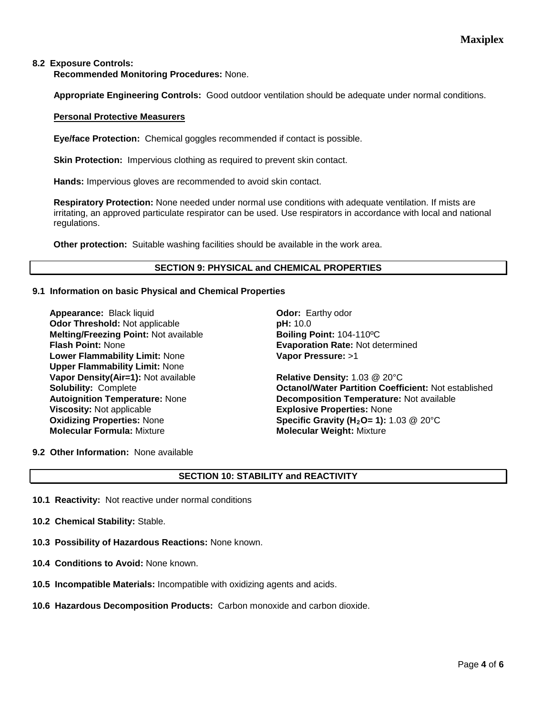## **8.2 Exposure Controls:**

**Recommended Monitoring Procedures:** None.

**Appropriate Engineering Controls:** Good outdoor ventilation should be adequate under normal conditions.

#### **Personal Protective Measurers**

**Eye/face Protection:** Chemical goggles recommended if contact is possible.

**Skin Protection:** Impervious clothing as required to prevent skin contact.

**Hands:** Impervious gloves are recommended to avoid skin contact.

**Respiratory Protection:** None needed under normal use conditions with adequate ventilation. If mists are irritating, an approved particulate respirator can be used. Use respirators in accordance with local and national regulations.

**Other protection:** Suitable washing facilities should be available in the work area.

## **SECTION 9: PHYSICAL and CHEMICAL PROPERTIES**

#### **9.1 Information on basic Physical and Chemical Properties**

**Appearance: Black liquid <b>Concernent** Controller Controller Controller Controller Controller Controller Controller Controller Controller Controller Controller Controller Controller Controller Controller Controller Control **Odor Threshold:** Not applicable **pH:**  $10.0$ **Melting/Freezing Point: Not available <b>Boiling Point: 104-110°C**<br>**Flash Point: None by Boiling Point: Evaporation Rate: Not de Lower Flammability Limit:** None **Upper Flammability Limit:** None **Vapor Density(Air=1):** Not available **Relative Density:** 1.03 @ 20°C **Viscosity:** Not applicable **EXPLOSIVE Explosive Properties:** None<br> **Oxidizing Properties:** None **Explosive Specific Gravity (H<sub>2</sub>O= 1):** 1 **Molecular Formula:** Mixture **Molecular Weight:** Mixture

**Evaporation Rate: Not determined Vapor Pressure:** >1

**Solubility:** Complete **Octanol/Water Partition Coefficient:** Not established **Autoignition Temperature:** None **Decomposition Temperature:** Not available **Specific Gravity (H<sub>2</sub>O= 1):** 1.03 @ 20°C

**9.2 Other Information:** None available

## **SECTION 10: STABILITY and REACTIVITY**

- **10.1 Reactivity:** Not reactive under normal conditions
- **10.2 Chemical Stability:** Stable.
- **10.3 Possibility of Hazardous Reactions:** None known.
- **10.4 Conditions to Avoid:** None known.
- **10.5 Incompatible Materials:** Incompatible with oxidizing agents and acids.
- **10.6 Hazardous Decomposition Products:** Carbon monoxide and carbon dioxide.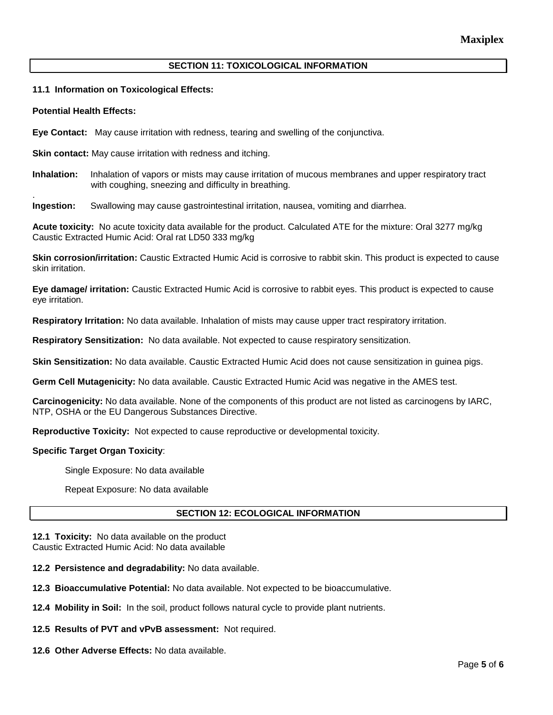## **SECTION 11: TOXICOLOGICAL INFORMATION**

## **11.1 Information on Toxicological Effects:**

#### **Potential Health Effects:**

.

**Eye Contact:** May cause irritation with redness, tearing and swelling of the conjunctiva.

**Skin contact:** May cause irritation with redness and itching.

**Inhalation:** Inhalation of vapors or mists may cause irritation of mucous membranes and upper respiratory tract with coughing, sneezing and difficulty in breathing.

**Ingestion:** Swallowing may cause gastrointestinal irritation, nausea, vomiting and diarrhea.

**Acute toxicity:** No acute toxicity data available for the product. Calculated ATE for the mixture: Oral 3277 mg/kg Caustic Extracted Humic Acid: Oral rat LD50 333 mg/kg

**Skin corrosion/irritation:** Caustic Extracted Humic Acid is corrosive to rabbit skin. This product is expected to cause skin irritation.

**Eye damage/ irritation:** Caustic Extracted Humic Acid is corrosive to rabbit eyes. This product is expected to cause eye irritation.

**Respiratory Irritation:** No data available. Inhalation of mists may cause upper tract respiratory irritation.

**Respiratory Sensitization:** No data available. Not expected to cause respiratory sensitization.

**Skin Sensitization:** No data available. Caustic Extracted Humic Acid does not cause sensitization in guinea pigs.

**Germ Cell Mutagenicity:** No data available. Caustic Extracted Humic Acid was negative in the AMES test.

**Carcinogenicity:** No data available. None of the components of this product are not listed as carcinogens by IARC, NTP, OSHA or the EU Dangerous Substances Directive.

**Reproductive Toxicity:** Not expected to cause reproductive or developmental toxicity.

#### **Specific Target Organ Toxicity**:

Single Exposure: No data available

Repeat Exposure: No data available

## **SECTION 12: ECOLOGICAL INFORMATION**

**12.1 Toxicity:** No data available on the product Caustic Extracted Humic Acid: No data available

**12.2 Persistence and degradability:** No data available.

**12.3 Bioaccumulative Potential:** No data available. Not expected to be bioaccumulative.

**12.4 Mobility in Soil:** In the soil, product follows natural cycle to provide plant nutrients.

**12.5 Results of PVT and vPvB assessment:** Not required.

**12.6 Other Adverse Effects:** No data available.